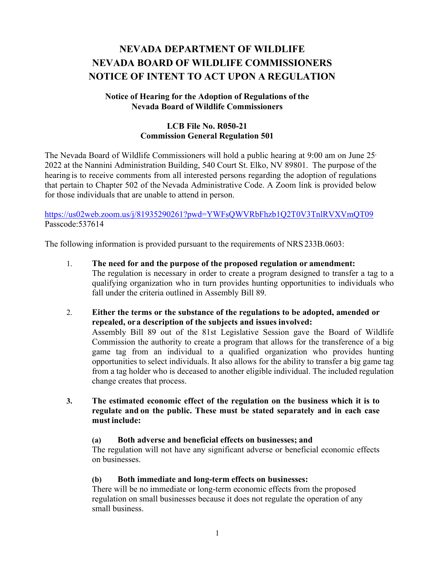# **NEVADA DEPARTMENT OF WILDLIFE NEVADA BOARD OF WILDLIFE COMMISSIONERS NOTICE OF INTENT TO ACT UPON A REGULATION**

# **Notice of Hearing for the Adoption of Regulations of the Nevada Board of Wildlife Commissioners**

# **LCB File No. R050-21 Commission General Regulation 501**

The Nevada Board of Wildlife Commissioners will hold a public hearing at 9:00 am on June 25, 2022 at the Nannini Administration Building, 540 Court St. Elko, NV 89801. The purpose of the hearing is to receive comments from all interested persons regarding the adoption of regulations that pertain to Chapter 502 of the Nevada Administrative Code. A Zoom link is provided below for those individuals that are unable to attend in person.

<https://us02web.zoom.us/j/81935290261?pwd=YWFsQWVRbFhzb1Q2T0V3TnlRVXVmQT09> Passcode:537614

The following information is provided pursuant to the requirements of NRS 233B.0603:

- 1. **The need for and the purpose of the proposed regulation or amendment:** The regulation is necessary in order to create a program designed to transfer a tag to a qualifying organization who in turn provides hunting opportunities to individuals who fall under the criteria outlined in Assembly Bill 89.
- 2. **Either the terms or the substance of the regulations to be adopted, amended or repealed, ora description of the subjects and issues involved:** Assembly Bill 89 out of the 81st Legislative Session gave the Board of Wildlife Commission the authority to create a program that allows for the transference of a big game tag from an individual to a qualified organization who provides hunting opportunities to select individuals. It also allows for the ability to transfer a big game tag from a tag holder who is deceased to another eligible individual. The included regulation change creates that process.
- **3. The estimated economic effect of the regulation on the business which it is to regulate and on the public. These must be stated separately and in each case must include:**

### **(a) Both adverse and beneficial effects on businesses; and**

The regulation will not have any significant adverse or beneficial economic effects on businesses.

### **(b) Both immediate and long-term effects on businesses:**

There will be no immediate or long-term economic effects from the proposed regulation on small businesses because it does not regulate the operation of any small business.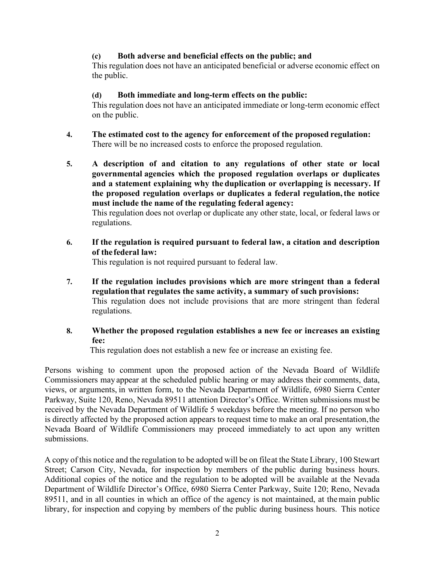# **(c) Both adverse and beneficial effects on the public; and**

This regulation does not have an anticipated beneficial or adverse economic effect on the public.

# **(d) Both immediate and long-term effects on the public:**

This regulation does not have an anticipated immediate or long-term economic effect on the public.

- **4. The estimated cost to the agency for enforcement of the proposed regulation:** There will be no increased costs to enforce the proposed regulation.
- **5. A description of and citation to any regulations of other state or local governmental agencies which the proposed regulation overlaps or duplicates and a statement explaining why the duplication or overlapping is necessary. If the proposed regulation overlaps or duplicates a federal regulation,the notice must include the name of the regulating federal agency:**

This regulation does not overlap or duplicate any other state, local, or federal laws or regulations.

**6. If the regulation is required pursuant to federal law, a citation and description of the federal law:**

This regulation is not required pursuant to federal law.

**7. If the regulation includes provisions which are more stringent than a federal regulationthat regulates the same activity, a summary of such provisions:** This regulation does not include provisions that are more stringent than federal regulations.

# **8. Whether the proposed regulation establishes a new fee or increases an existing fee:**

This regulation does not establish a new fee or increase an existing fee.

Persons wishing to comment upon the proposed action of the Nevada Board of Wildlife Commissioners may appear at the scheduled public hearing or may address their comments, data, views, or arguments, in written form, to the Nevada Department of Wildlife, 6980 Sierra Center Parkway, Suite 120, Reno, Nevada 89511 attention Director's Office. Written submissions must be received by the Nevada Department of Wildlife 5 weekdays before the meeting. If no person who is directly affected by the proposed action appears to request time to make an oral presentation,the Nevada Board of Wildlife Commissioners may proceed immediately to act upon any written submissions.

A copy of this notice and the regulation to be adopted will be on fileat the State Library, 100 Stewart Street; Carson City, Nevada, for inspection by members of the public during business hours. Additional copies of the notice and the regulation to be adopted will be available at the Nevada Department of Wildlife Director's Office, 6980 Sierra Center Parkway, Suite 120; Reno, Nevada 89511, and in all counties in which an office of the agency is not maintained, at themain public library, for inspection and copying by members of the public during business hours. This notice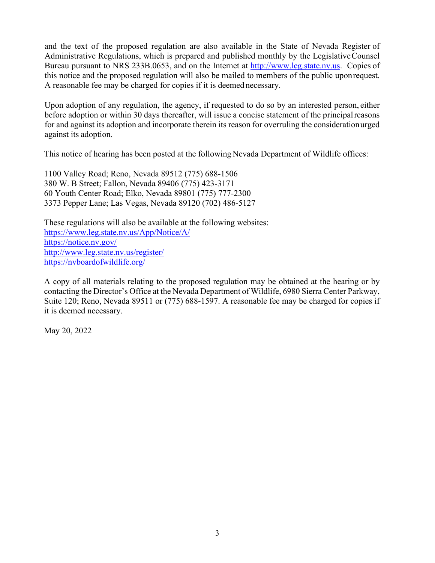and the text of the proposed regulation are also available in the State of Nevada Register of Administrative Regulations, which is prepared and published monthly by the Legislative Counsel Bureau pursuant to NRS 233B.0653, and on the Internet at [http://www.leg.state.nv.us.](http://www.leg.state.nv.us/) Copies of this notice and the proposed regulation will also be mailed to members of the public uponrequest. A reasonable fee may be charged for copies if it is deemed necessary.

Upon adoption of any regulation, the agency, if requested to do so by an interested person, either before adoption or within 30 days thereafter, will issue a concise statement of the principal reasons for and against its adoption and incorporate therein its reason for overruling the consideration urged against its adoption.

This notice of hearing has been posted at the following Nevada Department of Wildlife offices:

1100 Valley Road; Reno, Nevada 89512 (775) 688-1506 380 W. B Street; Fallon, Nevada 89406 (775) 423-3171 60 Youth Center Road; Elko, Nevada 89801 (775) 777-2300 3373 Pepper Lane; Las Vegas, Nevada 89120 (702) 486-5127

These regulations will also be available at the following websites: <https://www.leg.state.nv.us/App/Notice/A/> <https://notice.nv.gov/> <http://www.leg.state.nv.us/register/> <https://nvboardofwildlife.org/>

A copy of all materials relating to the proposed regulation may be obtained at the hearing or by contacting the Director's Office at the Nevada Department of Wildlife, 6980 Sierra Center Parkway, Suite 120; Reno, Nevada 89511 or (775) 688-1597. A reasonable fee may be charged for copies if it is deemed necessary.

May 20, 2022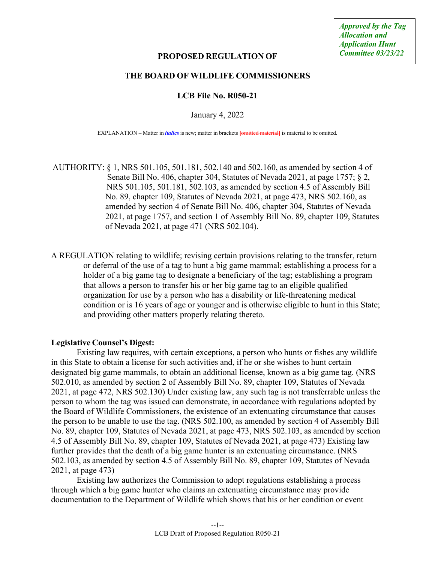### **PROPOSED REGULATION OF**

### **THE BOARD OF WILDLIFE COMMISSIONERS**

### **LCB File No. R050-21**

January 4, 2022

EXPLANATION – Matter in *italics* is new; matter in brackets **[**omitted material**]** is material to be omitted.

AUTHORITY: § 1, NRS 501.105, 501.181, 502.140 and 502.160, as amended by section 4 of Senate Bill No. 406, chapter 304, Statutes of Nevada 2021, at page 1757; § 2, NRS 501.105, 501.181, 502.103, as amended by section 4.5 of Assembly Bill No. 89, chapter 109, Statutes of Nevada 2021, at page 473, NRS 502.160, as amended by section 4 of Senate Bill No. 406, chapter 304, Statutes of Nevada 2021, at page 1757, and section 1 of Assembly Bill No. 89, chapter 109, Statutes of Nevada 2021, at page 471 (NRS 502.104).

A REGULATION relating to wildlife; revising certain provisions relating to the transfer, return or deferral of the use of a tag to hunt a big game mammal; establishing a process for a holder of a big game tag to designate a beneficiary of the tag; establishing a program that allows a person to transfer his or her big game tag to an eligible qualified organization for use by a person who has a disability or life-threatening medical condition or is 16 years of age or younger and is otherwise eligible to hunt in this State; and providing other matters properly relating thereto.

### **Legislative Counsel's Digest:**

Existing law requires, with certain exceptions, a person who hunts or fishes any wildlife in this State to obtain a license for such activities and, if he or she wishes to hunt certain designated big game mammals, to obtain an additional license, known as a big game tag. (NRS 502.010, as amended by section 2 of Assembly Bill No. 89, chapter 109, Statutes of Nevada 2021, at page 472, NRS 502.130) Under existing law, any such tag is not transferrable unless the person to whom the tag was issued can demonstrate, in accordance with regulations adopted by the Board of Wildlife Commissioners, the existence of an extenuating circumstance that causes the person to be unable to use the tag. (NRS 502.100, as amended by section 4 of Assembly Bill No. 89, chapter 109, Statutes of Nevada 2021, at page 473, NRS 502.103, as amended by section 4.5 of Assembly Bill No. 89, chapter 109, Statutes of Nevada 2021, at page 473) Existing law further provides that the death of a big game hunter is an extenuating circumstance. (NRS 502.103, as amended by section 4.5 of Assembly Bill No. 89, chapter 109, Statutes of Nevada 2021, at page 473)

Existing law authorizes the Commission to adopt regulations establishing a process through which a big game hunter who claims an extenuating circumstance may provide documentation to the Department of Wildlife which shows that his or her condition or event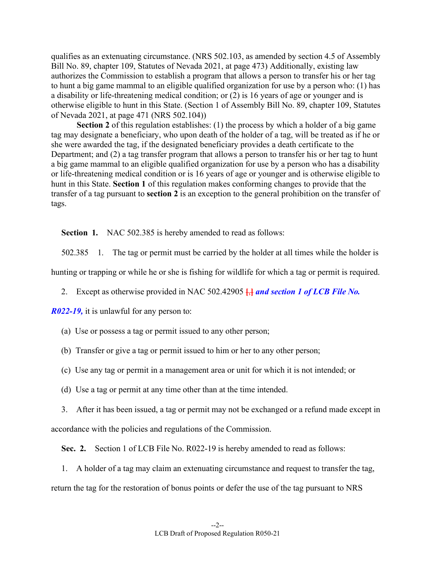qualifies as an extenuating circumstance. (NRS 502.103, as amended by section 4.5 of Assembly Bill No. 89, chapter 109, Statutes of Nevada 2021, at page 473) Additionally, existing law authorizes the Commission to establish a program that allows a person to transfer his or her tag to hunt a big game mammal to an eligible qualified organization for use by a person who: (1) has a disability or life-threatening medical condition; or (2) is 16 years of age or younger and is otherwise eligible to hunt in this State. (Section 1 of Assembly Bill No. 89, chapter 109, Statutes of Nevada 2021, at page 471 (NRS 502.104))

**Section 2** of this regulation establishes: (1) the process by which a holder of a big game tag may designate a beneficiary, who upon death of the holder of a tag, will be treated as if he or she were awarded the tag, if the designated beneficiary provides a death certificate to the Department; and (2) a tag transfer program that allows a person to transfer his or her tag to hunt a big game mammal to an eligible qualified organization for use by a person who has a disability or life-threatening medical condition or is 16 years of age or younger and is otherwise eligible to hunt in this State. **Section 1** of this regulation makes conforming changes to provide that the transfer of a tag pursuant to **section 2** is an exception to the general prohibition on the transfer of tags.

**Section 1.** NAC 502.385 is hereby amended to read as follows:

502.385 1. The tag or permit must be carried by the holder at all times while the holder is

hunting or trapping or while he or she is fishing for wildlife for which a tag or permit is required.

2. Except as otherwise provided in NAC 502.42905 **[**,**]** *and section 1 of LCB File No.*

*R022-19,* it is unlawful for any person to:

- (a) Use or possess a tag or permit issued to any other person;
- (b) Transfer or give a tag or permit issued to him or her to any other person;
- (c) Use any tag or permit in a management area or unit for which it is not intended; or
- (d) Use a tag or permit at any time other than at the time intended.

3. After it has been issued, a tag or permit may not be exchanged or a refund made except in accordance with the policies and regulations of the Commission.

**Sec. 2.** Section 1 of LCB File No. R022-19 is hereby amended to read as follows:

1. A holder of a tag may claim an extenuating circumstance and request to transfer the tag, return the tag for the restoration of bonus points or defer the use of the tag pursuant to NRS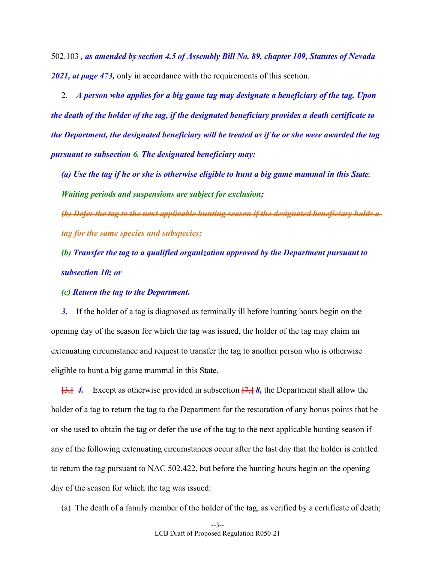502.103 *, as amended by section 4.5 of Assembly Bill No. 89, chapter 109, Statutes of Nevada 2021, at page 473,* only in accordance with the requirements of this section.

2. *A person who applies for a big game tag may designate a beneficiary of the tag. Upon the death of the holder of the tag, if the designated beneficiary provides a death certificate to the Department, the designated beneficiary will be treated as if he or she were awarded the tag pursuant to subsection 6. The designated beneficiary may:*

*(a) Use the tag if he or she is otherwise eligible to hunt a big game mammal in this State. Waiting periods and suspensions are subject for exclusion;*

*(b) Defer the tag to the next applicable hunting season if the designated beneficiary holds a tag for the same species and subspecies;* 

*(b) Transfer the tag to a qualified organization approved by the Department pursuant to subsection 10; or*

*(c) Return the tag to the Department.*

*3.* If the holder of a tag is diagnosed as terminally ill before hunting hours begin on the opening day of the season for which the tag was issued, the holder of the tag may claim an extenuating circumstance and request to transfer the tag to another person who is otherwise eligible to hunt a big game mammal in this State.

**[**3.**]** *4.* Except as otherwise provided in subsection **[**7,**]** *8,* the Department shall allow the holder of a tag to return the tag to the Department for the restoration of any bonus points that he or she used to obtain the tag or defer the use of the tag to the next applicable hunting season if any of the following extenuating circumstances occur after the last day that the holder is entitled to return the tag pursuant to NAC 502.422, but before the hunting hours begin on the opening day of the season for which the tag was issued:

(a) The death of a family member of the holder of the tag, as verified by a certificate of death;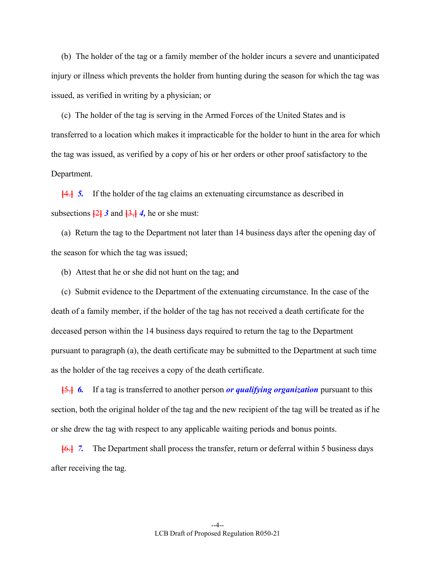(b) The holder of the tag or a family member of the holder incurs a severe and unanticipated injury or illness which prevents the holder from hunting during the season for which the tag was issued, as verified in writing by a physician; or

(c) The holder of the tag is serving in the Armed Forces of the United States and is transferred to a location which makes it impracticable for the holder to hunt in the area for which the tag was issued, as verified by a copy of his or her orders or other proof satisfactory to the Department.

**[**4.**]** *5.* If the holder of the tag claims an extenuating circumstance as described in subsections  $\frac{2}{2}$   $\frac{3}{2}$  and  $\frac{3}{2}$ ,  $\frac{4}{2}$ , he or she must:

(a) Return the tag to the Department not later than 14 business days after the opening day of the season for which the tag was issued;

(b) Attest that he or she did not hunt on the tag; and

(c) Submit evidence to the Department of the extenuating circumstance. In the case of the death of a family member, if the holder of the tag has not received a death certificate for the deceased person within the 14 business days required to return the tag to the Department pursuant to paragraph (a), the death certificate may be submitted to the Department at such time as the holder of the tag receives a copy of the death certificate.

**[**5.**]** *6.* If a tag is transferred to another person *or qualifying organization* pursuant to this section, both the original holder of the tag and the new recipient of the tag will be treated as if he or she drew the tag with respect to any applicable waiting periods and bonus points.

**[**6.**]** *7.* The Department shall process the transfer, return or deferral within 5 business days after receiving the tag.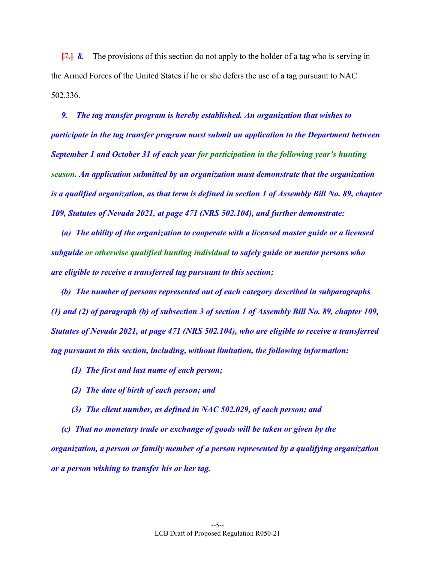**[**7.**]** *8.* The provisions of this section do not apply to the holder of a tag who is serving in the Armed Forces of the United States if he or she defers the use of a tag pursuant to NAC 502.336.

*9. The tag transfer program is hereby established. An organization that wishes to participate in the tag transfer program must submit an application to the Department between September 1 and October 31 of each year for participation in the following year's hunting season. An application submitted by an organization must demonstrate that the organization is a qualified organization, as that term is defined in section 1 of Assembly Bill No. 89, chapter 109, Statutes of Nevada 2021, at page 471 (NRS 502.104), and further demonstrate:*

*(a) The ability of the organization to cooperate with a licensed master guide or a licensed subguide or otherwise qualified hunting individual to safely guide or mentor persons who are eligible to receive a transferred tag pursuant to this section;*

*(b) The number of persons represented out of each category described in subparagraphs (1) and (2) of paragraph (b) of subsection 3 of section 1 of Assembly Bill No. 89, chapter 109, Statutes of Nevada 2021, at page 471 (NRS 502.104), who are eligible to receive a transferred tag pursuant to this section, including, without limitation, the following information:*

- *(1) The first and last name of each person;*
- *(2) The date of birth of each person; and*
- *(3) The client number, as defined in NAC 502.029, of each person; and*

*(c) That no monetary trade or exchange of goods will be taken or given by the organization, a person or family member of a person represented by a qualifying organization or a person wishing to transfer his or her tag.*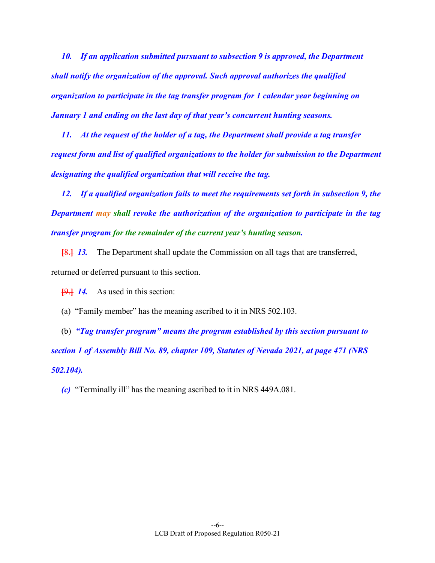*10. If an application submitted pursuant to subsection 9 is approved, the Department shall notify the organization of the approval. Such approval authorizes the qualified organization to participate in the tag transfer program for 1 calendar year beginning on January 1 and ending on the last day of that year's concurrent hunting seasons.*

*11. At the request of the holder of a tag, the Department shall provide a tag transfer request form and list of qualified organizations to the holder for submission to the Department designating the qualified organization that will receive the tag.*

*12. If a qualified organization fails to meet the requirements set forth in subsection 9, the Department may shall revoke the authorization of the organization to participate in the tag transfer program for the remainder of the current year's hunting season.*

**[**8.**]** *13.* The Department shall update the Commission on all tags that are transferred, returned or deferred pursuant to this section.

**[**9.**]** *14.* As used in this section:

(a) "Family member" has the meaning ascribed to it in NRS 502.103.

(b) *"Tag transfer program" means the program established by this section pursuant to section 1 of Assembly Bill No. 89, chapter 109, Statutes of Nevada 2021, at page 471 (NRS 502.104).*

*(c)* "Terminally ill" has the meaning ascribed to it in NRS 449A.081.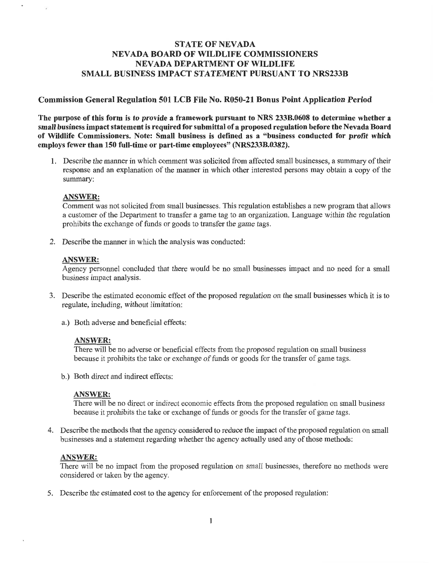# **STATE OF NEVADA NEVADA BOARD OF WILDLIFE COMMISSIONERS NEVADA DEPARTMENT OF WILDLIFE SMALL BUSINESS IMPACT STATEMENT PURSUANT TO NRS233B**

### **Commission General Regulation 501 LCB File No. R050-21 Bonus Point Application Period**

The purpose of this form is to provide a framework pursuant to NRS 233B.0608 to determine whether a small business impact statement is required for submittal of a proposed regulation before the Nevada Board of Wildlife Commissioners. Note: Small business is defined as a "business conducted for profit which employs fewer than 150 full-time or part-time employees" (NRS233B.0382).

1. Describe the manner in which comment was solicited from affected small businesses, a summary of their response and an explanation of the manner in which other interested persons may obtain a copy of the summary:

#### **ANSWER:**

 $\alpha$ 

Comment was not solicited from small businesses. This regulation establishes a new program that allows a customer of the Department to transfer a game tag to an organization. Language within the regulation prohibits the exchange of funds or goods to transfer the game tags.

2. Describe the manner in which the analysis was conducted:

#### **ANSWER:**

Agency personnel concluded that there would be no small businesses impact and no need for a small business impact analysis.

- 3. Describe the estimated economic effect of the proposed regulation on the small businesses which it is to regulate, including, without limitation:
	- a.) Both adverse and beneficial effects:

### **ANSWER:**

There will be no adverse or beneficial effects from the proposed regulation on small business because it prohibits the take or exchange of funds or goods for the transfer of game tags.

b.) Both direct and indirect effects:

#### **ANSWER:**

There will be no direct or indirect economic effects from the proposed regulation on small business because it prohibits the take or exchange of funds or goods for the transfer of game tags.

4. Describe the methods that the agency considered to reduce the impact of the proposed regulation on small businesses and a statement regarding whether the agency actually used any of those methods:

#### **ANSWER:**

There will be no impact from the proposed regulation on small businesses, therefore no methods were considered or taken by the agency.

5. Describe the estimated cost to the agency for enforcement of the proposed regulation: